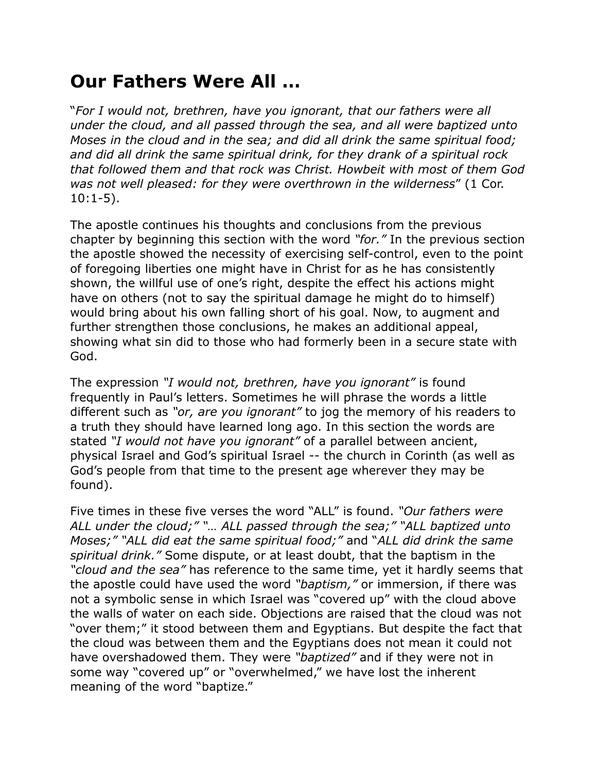## **Our Fathers Were All …**

"*For I would not, brethren, have you ignorant, that our fathers were all under the cloud, and all passed through the sea, and all were baptized unto Moses in the cloud and in the sea; and did all drink the same spiritual food; and did all drink the same spiritual drink, for they drank of a spiritual rock that followed them and that rock was Christ. Howbeit with most of them God was not well pleased: for they were overthrown in the wilderness*" (1 Cor. 10:1-5).

The apostle continues his thoughts and conclusions from the previous chapter by beginning this section with the word *"for."* In the previous section the apostle showed the necessity of exercising self-control, even to the point of foregoing liberties one might have in Christ for as he has consistently shown, the willful use of one's right, despite the effect his actions might have on others (not to say the spiritual damage he might do to himself) would bring about his own falling short of his goal. Now, to augment and further strengthen those conclusions, he makes an additional appeal, showing what sin did to those who had formerly been in a secure state with God.

The expression *"I would not, brethren, have you ignorant"* is found frequently in Paul's letters. Sometimes he will phrase the words a little different such as *"or, are you ignorant"* to jog the memory of his readers to a truth they should have learned long ago. In this section the words are stated *"I would not have you ignorant"* of a parallel between ancient, physical Israel and God's spiritual Israel -- the church in Corinth (as well as God's people from that time to the present age wherever they may be found).

Five times in these five verses the word "ALL" is found. *"Our fathers were ALL under the cloud;" "… ALL passed through the sea;" "ALL baptized unto Moses;" "ALL did eat the same spiritual food;"* and "*ALL did drink the same spiritual drink."* Some dispute, or at least doubt, that the baptism in the *"cloud and the sea"* has reference to the same time, yet it hardly seems that the apostle could have used the word *"baptism,"* or immersion, if there was not a symbolic sense in which Israel was "covered up" with the cloud above the walls of water on each side. Objections are raised that the cloud was not "over them;" it stood between them and Egyptians. But despite the fact that the cloud was between them and the Egyptians does not mean it could not have overshadowed them. They were *"baptized"* and if they were not in some way "covered up" or "overwhelmed," we have lost the inherent meaning of the word "baptize."